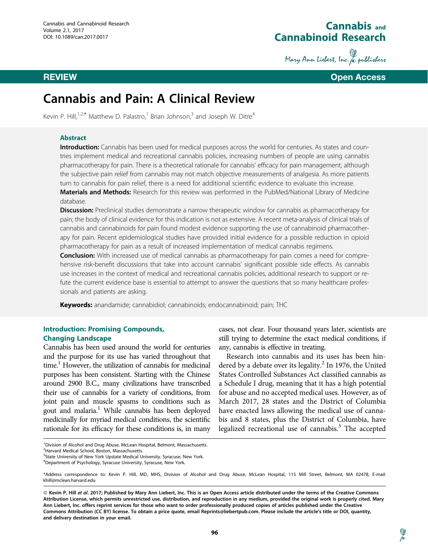

Mary Ann Liebert, Inc. & publishers

REVIEW Open Access

# Cannabis and Pain: A Clinical Review

Kevin P. Hill,<sup>1,2,\*</sup> Matthew D. Palastro,<sup>1</sup> Brian Johnson,<sup>3</sup> and Joseph W. Ditre<sup>4</sup>

# Abstract

Introduction: Cannabis has been used for medical purposes across the world for centuries. As states and countries implement medical and recreational cannabis policies, increasing numbers of people are using cannabis pharmacotherapy for pain. There is a theoretical rationale for cannabis' efficacy for pain management, although the subjective pain relief from cannabis may not match objective measurements of analgesia. As more patients turn to cannabis for pain relief, there is a need for additional scientific evidence to evaluate this increase. Materials and Methods: Research for this review was performed in the PubMed/National Library of Medicine database.

**Discussion:** Preclinical studies demonstrate a narrow therapeutic window for cannabis as pharmacotherapy for pain; the body of clinical evidence for this indication is not as extensive. A recent meta-analysis of clinical trials of cannabis and cannabinoids for pain found modest evidence supporting the use of cannabinoid pharmacotherapy for pain. Recent epidemiological studies have provided initial evidence for a possible reduction in opioid pharmacotherapy for pain as a result of increased implementation of medical cannabis regimens.

**Conclusion:** With increased use of medical cannabis as pharmacotherapy for pain comes a need for comprehensive risk-benefit discussions that take into account cannabis' significant possible side effects. As cannabis use increases in the context of medical and recreational cannabis policies, additional research to support or refute the current evidence base is essential to attempt to answer the questions that so many healthcare professionals and patients are asking.

Keywords: anandamide; cannabidiol; cannabinoids; endocannabinoid; pain; THC

# Introduction: Promising Compounds, Changing Landscape

Cannabis has been used around the world for centuries and the purpose for its use has varied throughout that time.<sup>1</sup> However, the utilization of cannabis for medicinal purposes has been consistent. Starting with the Chinese around 2900 B.C., many civilizations have transcribed their use of cannabis for a variety of conditions, from joint pain and muscle spasms to conditions such as gout and malaria.<sup>1</sup> While cannabis has been deployed medicinally for myriad medical conditions, the scientific rationale for its efficacy for these conditions is, in many cases, not clear. Four thousand years later, scientists are still trying to determine the exact medical conditions, if any, cannabis is effective in treating.

Research into cannabis and its uses has been hindered by a debate over its legality.<sup>2</sup> In 1976, the United States Controlled Substances Act classified cannabis as a Schedule I drug, meaning that it has a high potential for abuse and no accepted medical uses. However, as of March 2017, 28 states and the District of Columbia have enacted laws allowing the medical use of cannabis and 8 states, plus the District of Columbia, have legalized recreational use of cannabis. $3$  The accepted

Y

2 Harvard Medical School, Boston, Massachusetts.

<sup>&</sup>lt;sup>1</sup> Division of Alcohol and Drug Abuse, McLean Hospital, Belmont, Massachusetts.

<sup>&</sup>lt;sup>3</sup>State University of New York Upstate Medical University, Syracuse, New York. 4 Department of Psychology, Syracuse University, Syracuse, New York.

<sup>\*</sup>Address correspondence to: Kevin P. Hill, MD, MHS, Division of Alcohol and Drug Abuse, McLean Hospital, 115 Mill Street, Belmont, MA 02478, E-mail: khill@mclean.harvard.edu

 $©$  Kevin P. Hill et al. 2017; Published by Mary Ann Liebert, Inc. This is an Open Access article distributed under the terms of the Creative Commons Attribution License, which permits unrestricted use, distribution, and reproduction in any medium, provided the original work is properly cited. Mary Ann Liebert, Inc. offers reprint services for those who want to order professionally produced copies of articles published under the Creative Commons Attribution (CC BY) license. To obtain a price quote, email Reprints@liebertpub.com. Please include the article's title or DOI, quantity, and delivery destination in your email.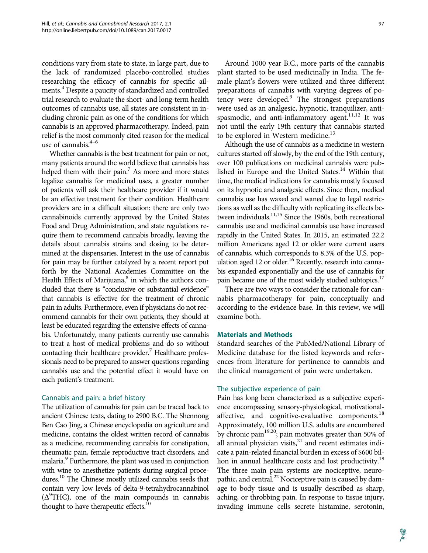conditions vary from state to state, in large part, due to the lack of randomized placebo-controlled studies researching the efficacy of cannabis for specific ailments.4 Despite a paucity of standardized and controlled trial research to evaluate the short- and long-term health outcomes of cannabis use, all states are consistent in including chronic pain as one of the conditions for which cannabis is an approved pharmacotherapy. Indeed, pain relief is the most commonly cited reason for the medical use of cannabis.<sup>4-6</sup>

Whether cannabis is the best treatment for pain or not, many patients around the world believe that cannabis has helped them with their pain.<sup>7</sup> As more and more states legalize cannabis for medicinal uses, a greater number of patients will ask their healthcare provider if it would be an effective treatment for their condition. Healthcare providers are in a difficult situation: there are only two cannabinoids currently approved by the United States Food and Drug Administration, and state regulations require them to recommend cannabis broadly, leaving the details about cannabis strains and dosing to be determined at the dispensaries. Interest in the use of cannabis for pain may be further catalyzed by a recent report put forth by the National Academies Committee on the Health Effects of Marijuana, $8$  in which the authors concluded that there is ''conclusive or substantial evidence'' that cannabis is effective for the treatment of chronic pain in adults. Furthermore, even if physicians do not recommend cannabis for their own patients, they should at least be educated regarding the extensive effects of cannabis. Unfortunately, many patients currently use cannabis to treat a host of medical problems and do so without contacting their healthcare provider.<sup>7</sup> Healthcare professionals need to be prepared to answer questions regarding cannabis use and the potential effect it would have on each patient's treatment.

# Cannabis and pain: a brief history

The utilization of cannabis for pain can be traced back to ancient Chinese texts, dating to 2900 B.C. The Shennong Ben Cao Jing, a Chinese encyclopedia on agriculture and medicine, contains the oldest written record of cannabis as a medicine, recommending cannabis for constipation, rheumatic pain, female reproductive tract disorders, and malaria.<sup>9</sup> Furthermore, the plant was used in conjunction with wine to anesthetize patients during surgical procedures.<sup>10</sup> The Chinese mostly utilized cannabis seeds that contain very low levels of delta-9-tetrahydrocannabinol  $(\Delta^9$ THC), one of the main compounds in cannabis thought to have therapeutic effects.<sup>10</sup>

Around 1000 year B.C., more parts of the cannabis plant started to be used medicinally in India. The female plant's flowers were utilized and three different preparations of cannabis with varying degrees of potency were developed.9 The strongest preparations were used as an analgesic, hypnotic, tranquilizer, antispasmodic, and anti-inflammatory agent.<sup>11,12</sup> It was not until the early 19th century that cannabis started to be explored in Western medicine.<sup>13</sup>

Although the use of cannabis as a medicine in western cultures started off slowly, by the end of the 19th century, over 100 publications on medicinal cannabis were published in Europe and the United States.<sup>14</sup> Within that time, the medical indications for cannabis mostly focused on its hypnotic and analgesic effects. Since then, medical cannabis use has waxed and waned due to legal restrictions as well as the difficulty with replicating its effects between individuals.<sup>11,15</sup> Since the 1960s, both recreational cannabis use and medicinal cannabis use have increased rapidly in the United States. In 2015, an estimated 22.2 million Americans aged 12 or older were current users of cannabis, which corresponds to 8.3% of the U.S. population aged 12 or older.<sup>16</sup> Recently, research into cannabis expanded exponentially and the use of cannabis for pain became one of the most widely studied subtopics.<sup>17</sup>

There are two ways to consider the rationale for cannabis pharmacotherapy for pain, conceptually and according to the evidence base. In this review, we will examine both.

# Materials and Methods

Standard searches of the PubMed/National Library of Medicine database for the listed keywords and references from literature for pertinence to cannabis and the clinical management of pain were undertaken.

#### The subjective experience of pain

Pain has long been characterized as a subjective experience encompassing sensory-physiological, motivationalaffective, and cognitive-evaluative components.<sup>18</sup> Approximately, 100 million U.S. adults are encumbered by chronic pain<sup>19,20</sup>; pain motivates greater than 50% of all annual physician visits, $21$  and recent estimates indicate a pain-related financial burden in excess of \$600 billion in annual healthcare costs and lost productivity.<sup>19</sup> The three main pain systems are nociceptive, neuropathic, and central.<sup>22</sup> Nociceptive pain is caused by damage to body tissue and is usually described as sharp, aching, or throbbing pain. In response to tissue injury, invading immune cells secrete histamine, serotonin,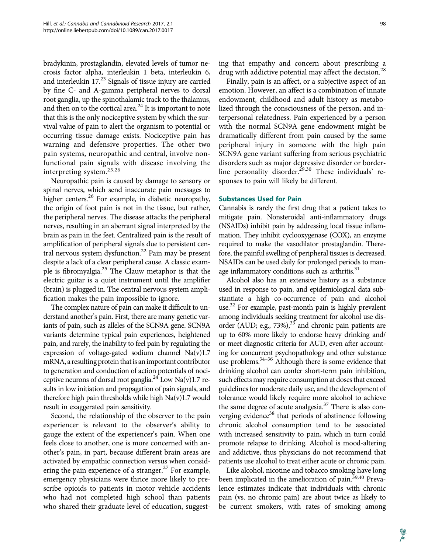bradykinin, prostaglandin, elevated levels of tumor necrosis factor alpha, interleukin 1 beta, interleukin 6, and interleukin  $17<sup>23</sup>$  Signals of tissue injury are carried by fine C- and A-gamma peripheral nerves to dorsal root ganglia, up the spinothalamic track to the thalamus, and then on to the cortical area. $^{24}$  It is important to note that this is the only nociceptive system by which the survival value of pain to alert the organism to potential or occurring tissue damage exists. Nociceptive pain has warning and defensive properties. The other two pain systems, neuropathic and central, involve nonfunctional pain signals with disease involving the interpreting system.25,26

Neuropathic pain is caused by damage to sensory or spinal nerves, which send inaccurate pain messages to higher centers.<sup>26</sup> For example, in diabetic neuropathy, the origin of foot pain is not in the tissue, but rather, the peripheral nerves. The disease attacks the peripheral nerves, resulting in an aberrant signal interpreted by the brain as pain in the feet. Centralized pain is the result of amplification of peripheral signals due to persistent central nervous system dysfunction.<sup>22</sup> Pain may be present despite a lack of a clear peripheral cause. A classic example is fibromyalgia.25 The Clauw metaphor is that the electric guitar is a quiet instrument until the amplifier (brain) is plugged in. The central nervous system amplification makes the pain impossible to ignore.

The complex nature of pain can make it difficult to understand another's pain. First, there are many genetic variants of pain, such as alleles of the SCN9A gene. SCN9A variants determine typical pain experiences, heightened pain, and rarely, the inability to feel pain by regulating the expression of voltage-gated sodium channel Na(v)1.7 mRNA, a resulting protein that is an important contributor to generation and conduction of action potentials of nociceptive neurons of dorsal root ganglia.<sup>24</sup> Low Na(v)1.7 results in low initiation and propagation of pain signals, and therefore high pain thresholds while high Na(v)1.7 would result in exaggerated pain sensitivity.

Second, the relationship of the observer to the pain experiencer is relevant to the observer's ability to gauge the extent of the experiencer's pain. When one feels close to another, one is more concerned with another's pain, in part, because different brain areas are activated by empathic connection versus when considering the pain experience of a stranger.<sup>27</sup> For example, emergency physicians were thrice more likely to prescribe opioids to patients in motor vehicle accidents who had not completed high school than patients who shared their graduate level of education, suggest98

ing that empathy and concern about prescribing a drug with addictive potential may affect the decision.<sup>28</sup>

Finally, pain is an affect, or a subjective aspect of an emotion. However, an affect is a combination of innate endowment, childhood and adult history as metabolized through the consciousness of the person, and interpersonal relatedness. Pain experienced by a person with the normal SCN9A gene endowment might be dramatically different from pain caused by the same peripheral injury in someone with the high pain SCN9A gene variant suffering from serious psychiatric disorders such as major depressive disorder or borderline personality disorder.<sup>29,30</sup> These individuals' responses to pain will likely be different.

## Substances Used for Pain

Cannabis is rarely the first drug that a patient takes to mitigate pain. Nonsteroidal anti-inflammatory drugs (NSAIDs) inhibit pain by addressing local tissue inflammation. They inhibit cyclooxygenase (COX), an enzyme required to make the vasodilator prostaglandin. Therefore, the painful swelling of peripheral tissues is decreased. NSAIDs can be used daily for prolonged periods to manage inflammatory conditions such as arthritis.<sup>31</sup>

Alcohol also has an extensive history as a substance used in response to pain, and epidemiological data substantiate a high co-occurrence of pain and alcohol use.<sup>32</sup> For example, past-month pain is highly prevalent among individuals seeking treatment for alcohol use disorder (AUD; e.g.,  $73\%)$ ,  $33$  and chronic pain patients are up to 60% more likely to endorse heavy drinking and/ or meet diagnostic criteria for AUD, even after accounting for concurrent psychopathology and other substance use problems. $34-36$  Although there is some evidence that drinking alcohol can confer short-term pain inhibition, such effects may require consumption at doses that exceed guidelines for moderate daily use, and the development of tolerance would likely require more alcohol to achieve the same degree of acute analgesia. $37$  There is also converging evidence<sup>38</sup> that periods of abstinence following chronic alcohol consumption tend to be associated with increased sensitivity to pain, which in turn could promote relapse to drinking. Alcohol is mood-altering and addictive, thus physicians do not recommend that patients use alcohol to treat either acute or chronic pain.

Like alcohol, nicotine and tobacco smoking have long been implicated in the amelioration of pain.<sup>39,40</sup> Prevalence estimates indicate that individuals with chronic pain (vs. no chronic pain) are about twice as likely to be current smokers, with rates of smoking among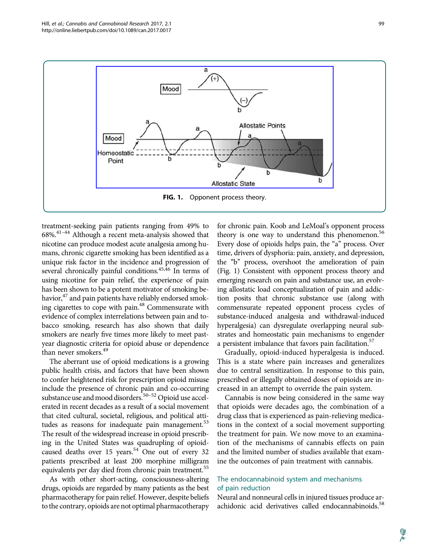

treatment-seeking pain patients ranging from 49% to 68%.41–44 Although a recent meta-analysis showed that nicotine can produce modest acute analgesia among humans, chronic cigarette smoking has been identified as a unique risk factor in the incidence and progression of several chronically painful conditions.<sup>45,46</sup> In terms of using nicotine for pain relief, the experience of pain has been shown to be a potent motivator of smoking behavior, $47$  and pain patients have reliably endorsed smoking cigarettes to cope with pain.<sup>48</sup> Commensurate with evidence of complex interrelations between pain and tobacco smoking, research has also shown that daily smokers are nearly five times more likely to meet pastyear diagnostic criteria for opioid abuse or dependence than never smokers.49

The aberrant use of opioid medications is a growing public health crisis, and factors that have been shown to confer heightened risk for prescription opioid misuse include the presence of chronic pain and co-occurring substance use and mood disorders.<sup>50–52</sup> Opioid use accelerated in recent decades as a result of a social movement that cited cultural, societal, religious, and political attitudes as reasons for inadequate pain management. $53$ The result of the widespread increase in opioid prescribing in the United States was quadrupling of opioidcaused deaths over 15 years. $54$  One out of every 32 patients prescribed at least 200 morphine milligram equivalents per day died from chronic pain treatment.<sup>55</sup>

As with other short-acting, consciousness-altering drugs, opioids are regarded by many patients as the best pharmacotherapy for pain relief. However, despite beliefs to the contrary, opioids are not optimal pharmacotherapy

for chronic pain. Koob and LeMoal's opponent process theory is one way to understand this phenomenon.<sup>56</sup> Every dose of opioids helps pain, the "a" process. Over time, drivers of dysphoria: pain, anxiety, and depression, the ''b'' process, overshoot the amelioration of pain (Fig. 1) Consistent with opponent process theory and emerging research on pain and substance use, an evolving allostatic load conceptualization of pain and addiction posits that chronic substance use (along with commensurate repeated opponent process cycles of substance-induced analgesia and withdrawal-induced hyperalgesia) can dysregulate overlapping neural substrates and homeostatic pain mechanisms to engender a persistent imbalance that favors pain facilitation.<sup>57</sup>

Gradually, opioid-induced hyperalgesia is induced. This is a state where pain increases and generalizes due to central sensitization. In response to this pain, prescribed or illegally obtained doses of opioids are increased in an attempt to override the pain system.

Cannabis is now being considered in the same way that opioids were decades ago, the combination of a drug class that is experienced as pain-relieving medications in the context of a social movement supporting the treatment for pain. We now move to an examination of the mechanisms of cannabis effects on pain and the limited number of studies available that examine the outcomes of pain treatment with cannabis.

# The endocannabinoid system and mechanisms of pain reduction

Neural and nonneural cells in injured tissues produce arachidonic acid derivatives called endocannabinoids.<sup>58</sup>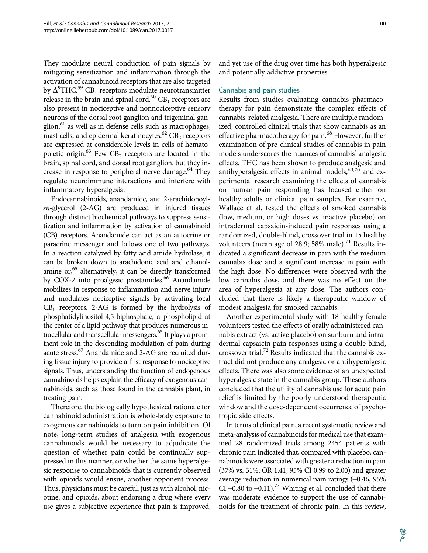They modulate neural conduction of pain signals by mitigating sensitization and inflammation through the activation of cannabinoid receptors that are also targeted by  $\Delta^{9}$ THC.<sup>59</sup> CB<sub>1</sub> receptors modulate neurotransmitter release in the brain and spinal cord. $^{60}$  CB<sub>1</sub> receptors are also present in nociceptive and nonnociceptive sensory neurons of the dorsal root ganglion and trigeminal ganglion, $61$  as well as in defense cells such as macrophages, mast cells, and epidermal keratinocytes. ${}^{62}$  CB<sub>2</sub> receptors are expressed at considerable levels in cells of hematopoietic origin.<sup>63</sup> Few  $CB_2$  receptors are located in the brain, spinal cord, and dorsal root ganglion, but they increase in response to peripheral nerve damage.<sup>64</sup> They regulate neuroimmune interactions and interfere with inflammatory hyperalgesia.

Endocannabinoids, anandamide, and 2-arachidonoylsn-glycerol (2-AG) are produced in injured tissues through distinct biochemical pathways to suppress sensitization and inflammation by activation of cannabinoid (CB) receptors. Anandamide can act as an autocrine or paracrine messenger and follows one of two pathways. In a reaction catalyzed by fatty acid amide hydrolase, it can be broken down to arachidonic acid and ethanolamine or,<sup>65</sup> alternatively, it can be directly transformed by COX-2 into proalgesic prostamides.<sup>66</sup> Anandamide mobilizes in response to inflammation and nerve injury and modulates nociceptive signals by activating local  $CB_1$  receptors. 2-AG is formed by the hydrolysis of phosphatidylinositol-4,5-biphosphate, a phospholipid at the center of a lipid pathway that produces numerous intracellular and transcellular messengers.<sup>65</sup> It plays a prominent role in the descending modulation of pain during acute stress.<sup>67</sup> Anandamide and 2-AG are recruited during tissue injury to provide a first response to nociceptive signals. Thus, understanding the function of endogenous cannabinoids helps explain the efficacy of exogenous cannabinoids, such as those found in the cannabis plant, in treating pain.

Therefore, the biologically hypothesized rationale for cannabinoid administration is whole-body exposure to exogenous cannabinoids to turn on pain inhibition. Of note, long-term studies of analgesia with exogenous cannabinoids would be necessary to adjudicate the question of whether pain could be continually suppressed in this manner, or whether the same hyperalgesic response to cannabinoids that is currently observed with opioids would ensue, another opponent process. Thus, physicians must be careful, just as with alcohol, nicotine, and opioids, about endorsing a drug where every use gives a subjective experience that pain is improved,

and yet use of the drug over time has both hyperalgesic and potentially addictive properties.

# Cannabis and pain studies

Results from studies evaluating cannabis pharmacotherapy for pain demonstrate the complex effects of cannabis-related analgesia. There are multiple randomized, controlled clinical trials that show cannabis as an effective pharmacotherapy for pain.<sup>68</sup> However, further examination of pre-clinical studies of cannabis in pain models underscores the nuances of cannabis' analgesic effects. THC has been shown to produce analgesic and antihyperalgesic effects in animal models,  $69,70$  and experimental research examining the effects of cannabis on human pain responding has focused either on healthy adults or clinical pain samples. For example, Wallace et al. tested the effects of smoked cannabis (low, medium, or high doses vs. inactive placebo) on intradermal capsaicin-induced pain responses using a randomized, double-blind, crossover trial in 15 healthy volunteers (mean age of 28.9; 58% male).<sup>71</sup> Results indicated a significant decrease in pain with the medium cannabis dose and a significant increase in pain with the high dose. No differences were observed with the low cannabis dose, and there was no effect on the area of hyperalgesia at any dose. The authors concluded that there is likely a therapeutic window of modest analgesia for smoked cannabis.

Another experimental study with 18 healthy female volunteers tested the effects of orally administered cannabis extract (vs. active placebo) on sunburn and intradermal capsaicin pain responses using a double-blind, crossover trial.<sup>72</sup> Results indicated that the cannabis extract did not produce any analgesic or antihyperalgesic effects. There was also some evidence of an unexpected hyperalgesic state in the cannabis group. These authors concluded that the utility of cannabis use for acute pain relief is limited by the poorly understood therapeutic window and the dose-dependent occurrence of psychotropic side effects.

In terms of clinical pain, a recent systematic review and meta-analysis of cannabinoids for medical use that examined 28 randomized trials among 2454 patients with chronic pain indicated that, compared with placebo, cannabinoids were associated with greater a reduction in pain (37% vs. 31%; OR 1.41, 95% CI 0.99 to 2.00) and greater average reduction in numerical pain ratings (-0.46, 95% CI $-0.80$  to  $-0.11$ ).<sup>73</sup> Whiting et al. concluded that there was moderate evidence to support the use of cannabinoids for the treatment of chronic pain. In this review,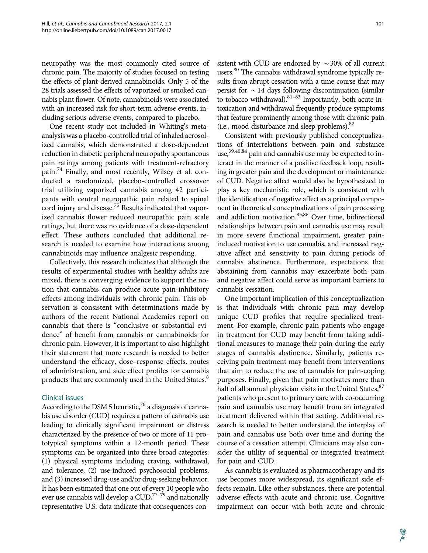neuropathy was the most commonly cited source of chronic pain. The majority of studies focused on testing the effects of plant-derived cannabinoids. Only 5 of the 28 trials assessed the effects of vaporized or smoked cannabis plant flower. Of note, cannabinoids were associated with an increased risk for short-term adverse events, including serious adverse events, compared to placebo.

One recent study not included in Whiting's metaanalysis was a placebo-controlled trial of inhaled aerosolized cannabis, which demonstrated a dose-dependent reduction in diabetic peripheral neuropathy spontaneous pain ratings among patients with treatment-refractory pain.<sup>74</sup> Finally, and most recently, Wilsey et al. conducted a randomized, placebo-controlled crossover trial utilizing vaporized cannabis among 42 participants with central neuropathic pain related to spinal cord injury and disease.<sup>75</sup> Results indicated that vaporized cannabis flower reduced neuropathic pain scale ratings, but there was no evidence of a dose-dependent effect. These authors concluded that additional research is needed to examine how interactions among cannabinoids may influence analgesic responding.

Collectively, this research indicates that although the results of experimental studies with healthy adults are mixed, there is converging evidence to support the notion that cannabis can produce acute pain-inhibitory effects among individuals with chronic pain. This observation is consistent with determinations made by authors of the recent National Academies report on cannabis that there is ''conclusive or substantial evidence'' of benefit from cannabis or cannabinoids for chronic pain. However, it is important to also highlight their statement that more research is needed to better understand the efficacy, dose–response effects, routes of administration, and side effect profiles for cannabis products that are commonly used in the United States.<sup>8</sup>

# Clinical issues

According to the DSM 5 heuristic,  $76$  a diagnosis of cannabis use disorder (CUD) requires a pattern of cannabis use leading to clinically significant impairment or distress characterized by the presence of two or more of 11 prototypical symptoms within a 12-month period. These symptoms can be organized into three broad categories: (1) physical symptoms including craving, withdrawal, and tolerance, (2) use-induced psychosocial problems, and (3) increased drug-use and/or drug-seeking behavior. It has been estimated that one out of every 10 people who ever use cannabis will develop a  $\text{CUD}$ ,  $^{77-79}$  and nationally representative U.S. data indicate that consequences consistent with CUD are endorsed by  $\sim$  30% of all current users.<sup>80</sup> The cannabis withdrawal syndrome typically results from abrupt cessation with a time course that may persist for  $\sim$  14 days following discontinuation (similar to tobacco withdrawal). $81-83$  Importantly, both acute intoxication and withdrawal frequently produce symptoms that feature prominently among those with chronic pain (i.e., mood disturbance and sleep problems).82

Consistent with previously published conceptualizations of interrelations between pain and substance use,<sup>39,40,84</sup> pain and cannabis use may be expected to interact in the manner of a positive feedback loop, resulting in greater pain and the development or maintenance of CUD. Negative affect would also be hypothesized to play a key mechanistic role, which is consistent with the identification of negative affect as a principal component in theoretical conceptualizations of pain processing and addiction motivation.<sup>85,86</sup> Over time, bidirectional relationships between pain and cannabis use may result in more severe functional impairment, greater paininduced motivation to use cannabis, and increased negative affect and sensitivity to pain during periods of cannabis abstinence. Furthermore, expectations that abstaining from cannabis may exacerbate both pain and negative affect could serve as important barriers to cannabis cessation.

One important implication of this conceptualization is that individuals with chronic pain may develop unique CUD profiles that require specialized treatment. For example, chronic pain patients who engage in treatment for CUD may benefit from taking additional measures to manage their pain during the early stages of cannabis abstinence. Similarly, patients receiving pain treatment may benefit from interventions that aim to reduce the use of cannabis for pain-coping purposes. Finally, given that pain motivates more than half of all annual physician visits in the United States,<sup>87</sup> patients who present to primary care with co-occurring pain and cannabis use may benefit from an integrated treatment delivered within that setting. Additional research is needed to better understand the interplay of pain and cannabis use both over time and during the course of a cessation attempt. Clinicians may also consider the utility of sequential or integrated treatment for pain and CUD.

As cannabis is evaluated as pharmacotherapy and its use becomes more widespread, its significant side effects remain. Like other substances, there are potential adverse effects with acute and chronic use. Cognitive impairment can occur with both acute and chronic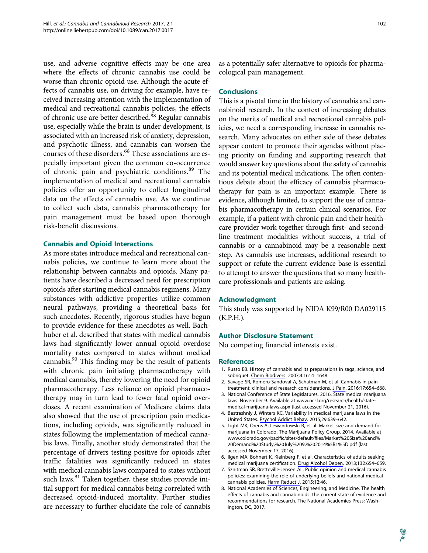use, and adverse cognitive effects may be one area where the effects of chronic cannabis use could be worse than chronic opioid use. Although the acute effects of cannabis use, on driving for example, have received increasing attention with the implementation of medical and recreational cannabis policies, the effects of chronic use are better described.88 Regular cannabis use, especially while the brain is under development, is associated with an increased risk of anxiety, depression, and psychotic illness, and cannabis can worsen the courses of these disorders.<sup>68</sup> These associations are especially important given the common co-occurrence of chronic pain and psychiatric conditions.<sup>89</sup> The implementation of medical and recreational cannabis policies offer an opportunity to collect longitudinal data on the effects of cannabis use. As we continue to collect such data, cannabis pharmacotherapy for pain management must be based upon thorough risk-benefit discussions.

## Cannabis and Opioid Interactions

As more states introduce medical and recreational cannabis policies, we continue to learn more about the relationship between cannabis and opioids. Many patients have described a decreased need for prescription opioids after starting medical cannabis regimens. Many substances with addictive properties utilize common neural pathways, providing a theoretical basis for such anecdotes. Recently, rigorous studies have begun to provide evidence for these anecdotes as well. Bachhuber et al. described that states with medical cannabis laws had significantly lower annual opioid overdose mortality rates compared to states without medical cannabis.<sup>90</sup> This finding may be the result of patients with chronic pain initiating pharmacotherapy with medical cannabis, thereby lowering the need for opioid pharmacotherapy. Less reliance on opioid pharmacotherapy may in turn lead to fewer fatal opioid overdoses. A recent examination of Medicare claims data also showed that the use of prescription pain medications, including opioids, was significantly reduced in states following the implementation of medical cannabis laws. Finally, another study demonstrated that the percentage of drivers testing positive for opioids after traffic fatalities was significantly reduced in states with medical cannabis laws compared to states without such laws.<sup>91</sup> Taken together, these studies provide initial support for medical cannabis being correlated with decreased opioid-induced mortality. Further studies are necessary to further elucidate the role of cannabis as a potentially safer alternative to opioids for pharmacological pain management.

#### **Conclusions**

This is a pivotal time in the history of cannabis and cannabinoid research. In the context of increasing debates on the merits of medical and recreational cannabis policies, we need a corresponding increase in cannabis research. Many advocates on either side of these debates appear content to promote their agendas without placing priority on funding and supporting research that would answer key questions about the safety of cannabis and its potential medical indications. The often contentious debate about the efficacy of cannabis pharmacotherapy for pain is an important example. There is evidence, although limited, to support the use of cannabis pharmacotherapy in certain clinical scenarios. For example, if a patient with chronic pain and their healthcare provider work together through first- and secondline treatment modalities without success, a trial of cannabis or a cannabinoid may be a reasonable next step. As cannabis use increases, additional research to support or refute the current evidence base is essential to attempt to answer the questions that so many healthcare professionals and patients are asking.

#### Acknowledgment

This study was supported by NIDA K99/R00 DA029115 (K.P.H.).

#### Author Disclosure Statement

No competing financial interests exist.

#### **References**

- 1. Russo EB. History of cannabis and its preparations in saga, science, and sobriquet. [Chem Biodivers](http://online.liebertpub.com/action/showLinks?doi=10.1089%2Fcan.2017.0017&pmid=17712811&crossref=10.1002%2Fcbdv.200790144&citationId=p_7). 2007;4:1614–1648.
- 2. Savage SR, Romero-Sandoval A, Schatman M, et al. Cannabis in pain treatment: clinical and research considerations. [J Pain](http://online.liebertpub.com/action/showLinks?doi=10.1089%2Fcan.2017.0017&pmid=26961090&crossref=10.1016%2Fj.jpain.2016.02.007&citationId=p_8). 2016;17:654–668.
- 3. National Conference of State Legislatures. 2016. State medical marijuana laws. November 9. Available at www.ncsl.org/research/health/statemedical-marijuana-laws.aspx (last accessed November 21, 2016).
- 4. Bestrashniy J, Winters KC. Variability in medical marijuana laws in the United States. [Psychol Addict Behav](http://online.liebertpub.com/action/showLinks?doi=10.1089%2Fcan.2017.0017&pmid=26415061&crossref=10.1037%2Fadb0000111&citationId=p_10). 2015;29:639–642.
- 5. Light MK, Orens A, Lewandowski B, et al. Market size and demand for marijuana in Colorado. The Marijuana Policy Group. 2014. Available at www.colorado.gov/pacific/sites/default/files/Market%20Size%20and% 20Demand%20Study,%20July%209,%202014%5B1%5D.pdf (last accessed November 17, 2016).
- 6. Ilgen MA, Bohnert K, Kleinberg F, et al. Characteristics of adults seeking medical marijuana certification. [Drug Alcohol Depen.](http://online.liebertpub.com/action/showLinks?doi=10.1089%2Fcan.2017.0017&pmid=23683791&crossref=10.1016%2Fj.drugalcdep.2013.04.019&citationId=p_12) 2013;132:654–659.
- 7. Sznitman SR, Bretteville-Jensen AL. Public opinion and medical cannabis policies: examining the role of underlying beliefs and national medical cannabis policies. [Harm Reduct J.](http://online.liebertpub.com/action/showLinks?doi=10.1089%2Fcan.2017.0017&pmid=26467203&crossref=10.1186%2Fs12954-015-0082-x&citationId=p_13) 2015;12:46.
- 8. National Academies of Sciences, Engineering, and Medicine. The health effects of cannabis and cannabinoids: the current state of evidence and recommendations for research. The National Academies Press: Washington, DC, 2017.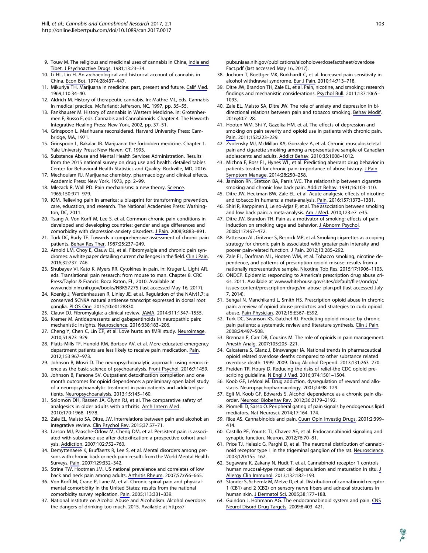- 9. Touw M. The religious and medicinal uses of cannabis in China, [India and](http://online.liebertpub.com/action/showLinks?doi=10.1089%2Fcan.2017.0017&pmid=7024492&crossref=10.1080%2F02791072.1981.10471447&citationId=p_15) [Tibet. J Psychoactive Drugs](http://online.liebertpub.com/action/showLinks?doi=10.1089%2Fcan.2017.0017&pmid=7024492&crossref=10.1080%2F02791072.1981.10471447&citationId=p_15). 1981;13:23–34.
- 10. Li HL, Lin H. An archaeological and historical account of cannabis in China. [Econ Bot](http://online.liebertpub.com/action/showLinks?doi=10.1089%2Fcan.2017.0017&crossref=10.1007%2FBF02862859&citationId=p_16). 1974;28:437–447.
- 11. Mikuriya TH. Marijuana in medicine: past, present and future. [Calif Med](http://online.liebertpub.com/action/showLinks?doi=10.1089%2Fcan.2017.0017&pmid=4883504&citationId=p_17). 1969;110:34–40.
- 12. Aldrich M. History of therapeutic cannabis. In: Mathre ML, eds. Cannabis in medical practice. McFarland: Jefferson, NC, 1997, pp. 35–55.
- 13. Fankhauser M. History of cannabis in Western Medicine. In: Grotenhermen F, Russo E, eds. Cannabis and Cannabinoids. Chapter 4. The Haworth Integrative Healing Press: New York, 2002, pp. 37–51.
- 14. Grinspoon L. Marihuana reconsidered. Harvard University Press: Cambridge, MA, 1971.
- 15. Grinspoon L, Bakalar JB. Marijuana: the forbidden medicine. Chapter 1. Yale Universty Press: New Haven, CT, 1993.
- 16. Substance Abuse and Mental Health Services Administration. Results from the 2015 national survey on drug use and health: detailed tables. Center for Behavioral Health Statistics and Quality: Rockville, MD, 2016.
- 17. Mechoulam RJ. Marijuana: chemistry, pharmacology and clinical effects. Academic Press: New York, 1973, pp. 2–99.
- 18. Mlezack R, Wall PD. Pain mechanisms: a new theory. [Science](http://online.liebertpub.com/action/showLinks?doi=10.1089%2Fcan.2017.0017&pmid=5320816&crossref=10.1126%2Fscience.150.3699.971&citationId=p_24). 1965;150:971–979.
- 19. IOM. Relieving pain in america: a blueprint for transforming prevention, care, education, and research. The National Academies Press: Washington, DC, 2011.
- 20. Tsang A, Von Korff M, Lee S, et al. Common chronic pain conditions in developed and developing countries: gender and age differences and comorbidity with depression-anxiety disorders. [J Pain.](http://online.liebertpub.com/action/showLinks?doi=10.1089%2Fcan.2017.0017&pmid=18602869&crossref=10.1016%2Fj.jpain.2008.05.005&citationId=p_26) 2008;9:883–891.
- 21. Turk DC, Rudy TE. Towards a comprehensive assessment of chronic pain patients. [Behav Res Ther.](http://online.liebertpub.com/action/showLinks?doi=10.1089%2Fcan.2017.0017&pmid=3662986&crossref=10.1016%2F0005-7967%2887%2990002-7&citationId=p_27) 1987;25:237–249.
- 22. Arnold LM, Choy E, Clauw DJ, et al. Fibromyalgia and chronic pain syndromes: a white paper detailing current challenges in the field. [Clin J Pain](http://online.liebertpub.com/action/showLinks?doi=10.1089%2Fcan.2017.0017&pmid=27022674&crossref=10.1097%2FAJP.0000000000000354&citationId=p_28). 2016;32:737–746.
- 23. Shubayev VI, Kato K, Myers RR. Cytokines in pain. In: Kruger L, Light AR, eds. Translational pain research: from mouse to man. Chapter 8. CRC Press/Taylor & Francis: Boca Raton, FL, 2010. Available at www.ncbi.nlm.nih.gov/books/NBK57275 (last accessed May 16, 2017).
- 24. Koenig J, Werdenhausen R, Linley JE, et al. Regulation of the NA(v)1.7: a conserved SCN9A natural antisense transcript expressed in dorsal root ganglia. [PLOS One.](http://online.liebertpub.com/action/showLinks?doi=10.1089%2Fcan.2017.0017&pmid=26035178&crossref=10.1371%2Fjournal.pone.0128830&citationId=p_30) 2015;10:e0128830.
- 25. Clauw DJ. Fibromyalgia: a clinical review. [JAMA.](http://online.liebertpub.com/action/showLinks?doi=10.1089%2Fcan.2017.0017&pmid=24737367&crossref=10.1001%2Fjama.2014.3266&citationId=p_31) 2014;311:1547–1555.
- 26. Kremer M. Antidepressants and gabapentinoids in neuropathic pain: mechanistic insights. [Neuroscience](http://online.liebertpub.com/action/showLinks?doi=10.1089%2Fcan.2017.0017&pmid=27401055&crossref=10.1016%2Fj.neuroscience.2016.06.057&citationId=p_32). 2016;338:183–206.
- 27. Cheng Y, Chen C, Lin CP, et al. Love hurts: an fMRI study. [Neuroimage.](http://online.liebertpub.com/action/showLinks?doi=10.1089%2Fcan.2017.0017&pmid=20188182&crossref=10.1016%2Fj.neuroimage.2010.02.047&citationId=p_33) 2010;51:923–929.
- 28. Platts-Mills TF, Hunold KM, Bortsov AV, et al. More educated emergency department patients are less likely to receive pain medication. [Pain](http://online.liebertpub.com/action/showLinks?doi=10.1089%2Fcan.2017.0017&pmid=22386895&crossref=10.1016%2Fj.pain.2012.01.013&citationId=p_34). 2012;153:967–973.
- 29. Johnson B, Mosri D. The neuropsychoanalytic approach: using neuroscience as the basic science of psychoanalysis. [Front Psychol.](http://online.liebertpub.com/action/showLinks?doi=10.1089%2Fcan.2017.0017&pmid=27790160&crossref=10.3389%2Ffpsyg.2016.01459&citationId=p_35) 2016;7:1459.
- 30. Johnson B, Faraone SV. Outpatient detoxification completion and one month outcomes for opioid dependence: a preliminary open label study of a neuropsychoanalytic treatment in pain patients and addicted patients, [Neuropsychoanalysis](http://online.liebertpub.com/action/showLinks?doi=10.1089%2Fcan.2017.0017&crossref=10.1080%2F15294145.2013.10799827&citationId=p_36). 2013;15:145–160.
- 31. Solomon DH, Rassen JA, Glynn RJ, et al. The comparative safety of analgesics in older adults with arthritis. [Arch Intern Med](http://online.liebertpub.com/action/showLinks?doi=10.1089%2Fcan.2017.0017&pmid=21149752&crossref=10.1001%2Farchinternmed.2010.391&citationId=p_37). 2010;170:1968–1978.
- 32. Zale EL, Maisto SA, Ditre, JW. Interrelations between pain and alcohol: an integrative review. [Clin Psychol Rev](http://online.liebertpub.com/action/showLinks?doi=10.1089%2Fcan.2017.0017&pmid=25766100&crossref=10.1016%2Fj.cpr.2015.02.005&citationId=p_38). 2015;37:57–71.
- 33. Larson MJ, Paasche-Orlow M, Cheng DM, et al. Persistent pain is associated with substance use after detoxification: a prospective cohort analysis. [Addiction.](http://online.liebertpub.com/action/showLinks?doi=10.1089%2Fcan.2017.0017&pmid=17506152&crossref=10.1111%2Fj.1360-0443.2007.01759.x&citationId=p_39) 2007;102:752–760.
- 34. Demyttenaere K, Bruffaerts R, Lee S, et al. Mental disorders among persons with chronic back or neck pain: results from the World Mental Health Surveys. [Pain.](http://online.liebertpub.com/action/showLinks?doi=10.1089%2Fcan.2017.0017&pmid=17350169&crossref=10.1016%2Fj.pain.2007.01.022&citationId=p_40) 2007;129:332–342.
- 35. Strine TW, Hootman JM. US national prevalence and correlates of low back and neck pain among adults. [Arthritis Rheum.](http://online.liebertpub.com/action/showLinks?doi=10.1089%2Fcan.2017.0017&pmid=17471542&crossref=10.1002%2Fart.22684&citationId=p_41) 2007;57:656–665.
- 36. Von Korff M, Crane P, Lane M, et al. Chronic spinal pain and physicalmental comorbidity in the United States: results from the national comorbidity survey replication. [Pain](http://online.liebertpub.com/action/showLinks?doi=10.1089%2Fcan.2017.0017&pmid=15661441&crossref=10.1016%2Fj.pain.2004.11.010&citationId=p_42). 2005;113:331–339.
- 37. National Institute on Alcohol Abuse and Alcoholism. Alcohol overdose: the dangers of drinking too much. 2015. Available at https://

pubs.niaaa.nih.gov/publications/alcoholoverdosefactsheet/overdose Fact.pdf (last accessed May 16, 2017).

- 38. Jochum T, Boettger MK, Burkhardt C, et al. Increased pain sensitivity in alcohol withdrawal syndrome. [Eur J Pain](http://online.liebertpub.com/action/showLinks?doi=10.1089%2Fcan.2017.0017&pmid=20018536&crossref=10.1016%2Fj.ejpain.2009.11.008&citationId=p_44). 2010;14:713–718.
- 39. Ditre JW, Brandon TH, Zale EL, et al. Pain, nicotine, and smoking: research findings and mechanistic considerations. [Psychol Bull](http://online.liebertpub.com/action/showLinks?doi=10.1089%2Fcan.2017.0017&pmid=21967450&crossref=10.1037%2Fa0025544&citationId=p_45). 2011;137:1065– 1093.
- 40. Zale EL, Maisto SA, Ditre JW. The role of anxiety and depression in bidirectional relations between pain and tobacco smoking. [Behav Modif.](http://online.liebertpub.com/action/showLinks?doi=10.1089%2Fcan.2017.0017&pmid=26467214&crossref=10.1177%2F0145445515610744&citationId=p_46) 2016;40:7–28.
- 41. Hooten WM, Shi Y, Gazelka HM, et al. The effects of depression and smoking on pain severity and opioid use in patients with chronic pain. [Pain](http://online.liebertpub.com/action/showLinks?doi=10.1089%2Fcan.2017.0017&pmid=21126821&crossref=10.1016%2Fj.pain.2010.10.045&citationId=p_47). 2011;152:223–229.
- 42. Zvolensky MJ, McMillan KA, Gonzalez A, et al. Chronic musculoskeletal pain and cigarette smoking among a representative sample of Canadian adolescents and adults. [Addict Behav](http://online.liebertpub.com/action/showLinks?doi=10.1089%2Fcan.2017.0017&pmid=20621422&crossref=10.1016%2Fj.addbeh.2010.06.019&citationId=p_48). 2010;35:1008–1012.
- 43. Michna E, Ross EL, Hynes WL, et al. Predicting aberrant drug behavior in patients treated for chronic pain: importance of abuse history. [J Pain](http://online.liebertpub.com/action/showLinks?doi=10.1089%2Fcan.2017.0017&crossref=10.1016%2Fj.jpainsymman.2004.04.007&citationId=p_49) [Symptom Manage](http://online.liebertpub.com/action/showLinks?doi=10.1089%2Fcan.2017.0017&crossref=10.1016%2Fj.jpainsymman.2004.04.007&citationId=p_49). 2014;28:250–258.
- 44. Jamison RN, Stetson BA, Parris WC. The relationship between cigarette smoking and chronic low back pain. [Addict Behav.](http://online.liebertpub.com/action/showLinks?doi=10.1089%2Fcan.2017.0017&pmid=1829566&crossref=10.1016%2F0306-4603%2891%2990002-Y&citationId=p_50) 1991;16:103–110.
- 45. Ditre JW, Heckman BW, Zale EL, et al. Acute analgesic effects of nicotine and tobacco in humans: a meta-analysis. [Pain](http://online.liebertpub.com/action/showLinks?doi=10.1089%2Fcan.2017.0017&pmid=27023418&crossref=10.1097%2Fj.pain.0000000000000572&citationId=p_51). 2016;157:1373–1381.
- 46. Shiri R, Karppinen J, Leino-Arjas P, et al. The association between smoking and low back pain: a meta-analysis. [Am J Med](http://online.liebertpub.com/action/showLinks?doi=10.1089%2Fcan.2017.0017&crossref=10.1016%2Fj.amjmed.2009.05.028&citationId=p_52). 2010;123:e7–e35.
- 47. Ditre JW, Brandon TH. Pain as a motivator of smoking: effects of pain induction on smoking urge and behavior. [J Abnorm Psychol](http://online.liebertpub.com/action/showLinks?doi=10.1089%2Fcan.2017.0017&pmid=18489224&crossref=10.1037%2F0021-843X.117.2.467&citationId=p_53). 2008;117:467–472.
- 48. Patterson AL, Gritzner S, Resnick MP, et al. Smoking cigarettes as a coping strategy for chronic pain is associated with greater pain intensity and poorer pain-related function. [J Pain.](http://online.liebertpub.com/action/showLinks?doi=10.1089%2Fcan.2017.0017&pmid=22325299&crossref=10.1016%2Fj.jpain.2011.11.008&citationId=p_54) 2012;13:285–292.
- 49. Zale EL, Dorfman ML, Hooten WM, et al. Tobacco smoking, nicotine dependence, and patterns of prescription opioid misuse: results from a nationally representative sample. [Nicotine Tob Res.](http://online.liebertpub.com/action/showLinks?doi=10.1089%2Fcan.2017.0017&crossref=10.1093%2Fntr%2Fntu227&citationId=p_55) 2015;17:1906–1103.
- 50. ONDCP. Epidemic: responding to America's prescription drug abuse crisis. 2011. Available at www.whitehouse.gov/sites/default/files/ondcp/ issues-content/prescription-drugs/rx\_abuse\_plan.pdf (last accessed July 7, 2014).
- 51. Sehgal N, Manchikanti L, Smith HS. Prescription opioid abuse in chronic pain: a review of opioid abuse predictors and strategies to curb opioid abuse. [Pain Physician.](http://online.liebertpub.com/action/showLinks?doi=10.1089%2Fcan.2017.0017&pmid=22786449&citationId=p_57) 2012;15:ES67–ES92.
- 52. Turk DC, Swanson KS, Gatchel RJ. Predicting opioid misuse by chronic pain patients: a systematic review and literature synthesis. [Clin J Pain.](http://online.liebertpub.com/action/showLinks?doi=10.1089%2Fcan.2017.0017&pmid=18574359&crossref=10.1097%2FAJP.0b013e31816b1070&citationId=p_58) 2008;24:497–508.
- 53. Brennan F, Carr DB, Cousins M. The role of opioids in pain management. [Anesth Analg.](http://online.liebertpub.com/action/showLinks?doi=10.1089%2Fcan.2017.0017&pmid=17578977&crossref=10.1213%2F01.ane.0000268145.52345.55&citationId=p_59) 2007;105:205–221.
- 54. Calcaterra S, Glanz J, Binswanger IA. National trends in pharmaceutical opioid related overdose deaths compared to other substance related overdose death: 1999–2009. [Drug Alcohol Depend.](http://online.liebertpub.com/action/showLinks?doi=10.1089%2Fcan.2017.0017&pmid=23294765&crossref=10.1016%2Fj.drugalcdep.2012.11.018&citationId=p_60) 2013;131:263–270.
- 55. Freiden TR, Houry D. Reducing the risks of relief-the CDC opioid prescribing guideline. [N Engl J Med](http://online.liebertpub.com/action/showLinks?doi=10.1089%2Fcan.2017.0017&pmid=26977701&crossref=10.1056%2FNEJMp1515917&citationId=p_61). 2016;374:1501–1504.
- 56. Koob GF, LeMoal M. Drug addiction, dysregulation of reward and allostasis. [Neuropsychopharmacology](http://online.liebertpub.com/action/showLinks?doi=10.1089%2Fcan.2017.0017&crossref=10.1016%2FS0893-133X%2800%2900195-0&citationId=p_62). 2001;24:98–129.
- 57. Egli M, Koob GF, Edwards S. Alcohol dependence as a chronic pain disorder. [Neurosci Biobehav Rev](http://online.liebertpub.com/action/showLinks?doi=10.1089%2Fcan.2017.0017&pmid=22975446&crossref=10.1016%2Fj.neubiorev.2012.07.010&citationId=p_63). 2012;36:2179–2192.
- 58. Piomelli D, Sasso O. Peripheral gating of pain signals by endogenous lipid mediators. [Nat Neurosci](http://online.liebertpub.com/action/showLinks?doi=10.1089%2Fcan.2017.0017&pmid=24473264&crossref=10.1038%2Fnn.3612&citationId=p_64). 2014;17:164–174.
- 59. Rice AS. Cannabinoids and pain. [Cuurr Opin Investig Drugs.](http://online.liebertpub.com/action/showLinks?doi=10.1089%2Fcan.2017.0017&pmid=11575713&citationId=p_65) 2001;2:399– 414.
- 60. Castillo PE, Younts TJ, Chavez AE, et al. Endocannabinoid signaling and synaptic function. [Neuron.](http://online.liebertpub.com/action/showLinks?doi=10.1089%2Fcan.2017.0017&pmid=23040807&crossref=10.1016%2Fj.neuron.2012.09.020&citationId=p_66) 2012;76:70–81.
- 61. Price TJ, Helesic G, Parghi D, et al. The neuronal distribution of cannabinoid receptor type 1 in the trigeminal ganglion of the rat. [Neuroscience](http://online.liebertpub.com/action/showLinks?doi=10.1089%2Fcan.2017.0017&pmid=12849749&crossref=10.1016%2FS0306-4522%2803%2900333-6&citationId=p_67). 2003;120:155–162.
- 62. Sugawara K, Zakany N, Hudt T, et al. Cannabinoid receptor 1 controls human mucosal-type mast cell degranulation and maturation in situ. [J](http://online.liebertpub.com/action/showLinks?doi=10.1089%2Fcan.2017.0017&pmid=23453134&crossref=10.1016%2Fj.jaci.2013.01.002&citationId=p_68) [Allergy Clin Immunol.](http://online.liebertpub.com/action/showLinks?doi=10.1089%2Fcan.2017.0017&pmid=23453134&crossref=10.1016%2Fj.jaci.2013.01.002&citationId=p_68) 2013;132:182–193.
- 63. Stander S, Schemlz M, Metze D, et al. Distribution of cannabinoid receptor 1 (CB1) and 2 (CB2) on sensory nerve fibers and adnexal structures in human skin. [J Dermatol Sci](http://online.liebertpub.com/action/showLinks?doi=10.1089%2Fcan.2017.0017&pmid=15927811&crossref=10.1016%2Fj.jdermsci.2005.01.007&citationId=p_69). 2005;38:177–188.
- 64. Guindon J, Hohmann AG. The endocannabinoid system and pain. [CNS](http://online.liebertpub.com/action/showLinks?doi=10.1089%2Fcan.2017.0017&pmid=19839937&crossref=10.2174%2F187152709789824660&citationId=p_70) [Neurol Disord Drug Targets.](http://online.liebertpub.com/action/showLinks?doi=10.1089%2Fcan.2017.0017&pmid=19839937&crossref=10.2174%2F187152709789824660&citationId=p_70) 2009;8:403–421.